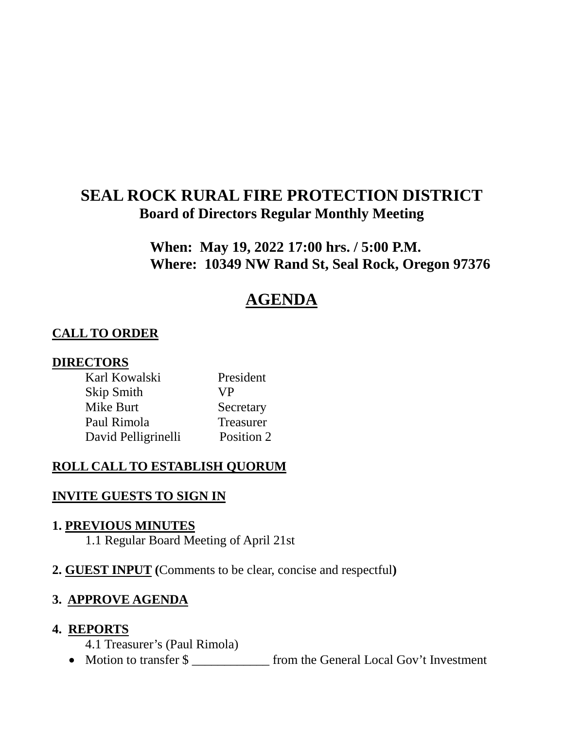# **SEAL ROCK RURAL FIRE PROTECTION DISTRICT Board of Directors Regular Monthly Meeting**

**When: May 19, 2022 17:00 hrs. / 5:00 P.M. Where: 10349 NW Rand St, Seal Rock, Oregon 97376**

# **AGENDA**

## **CALL TO ORDER**

### **DIRECTORS**

| Karl Kowalski       | President  |
|---------------------|------------|
| Skip Smith          | <b>VP</b>  |
| Mike Burt           | Secretary  |
| Paul Rimola         | Treasurer  |
| David Pelligrinelli | Position 2 |

## **ROLL CALL TO ESTABLISH QUORUM**

#### **INVITE GUESTS TO SIGN IN**

#### **1. PREVIOUS MINUTES**

1.1 Regular Board Meeting of April 21st

**2. GUEST INPUT (**Comments to be clear, concise and respectful**)**

## **3. APPROVE AGENDA**

#### **4. REPORTS**

4.1 Treasurer's (Paul Rimola)

• Motion to transfer \$